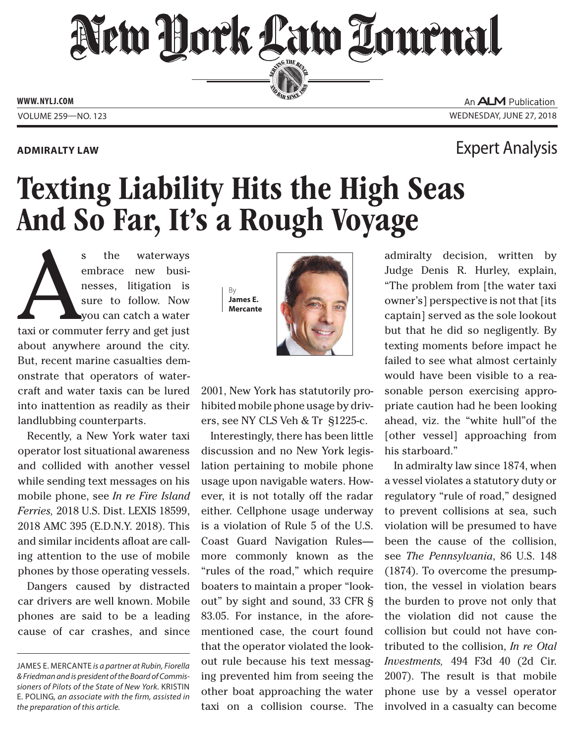# New Hork Law Lournal SERVING THE BEN

**ED BAR SINCE 188** 

**www. NYLJ.com**

An **ALM** Publication Volume 259—NO. 123 Wednesday, June 27, 2018

### **Admiralty Law** Expert Analysis

## Texting Liability Hits the High Seas And So Far, It's a Rough Voyage

s the waterways<br>
embrace new busi-<br>
nesses, litigation is<br>
sure to follow. Now<br>
you can catch a water<br>
taxi or commuter ferry and get just embrace new businesses, litigation is sure to follow. Now you can catch a water about anywhere around the city. But, recent marine casualties demonstrate that operators of watercraft and water taxis can be lured into inattention as readily as their landlubbing counterparts.

Recently, a New York water taxi operator lost situational awareness and collided with another vessel while sending text messages on his mobile phone, see *In re Fire Island Ferries,* 2018 U.S. Dist. LEXIS 18599, 2018 AMC 395 (E.D.N.Y. 2018). This and similar incidents afloat are calling attention to the use of mobile phones by those operating vessels.

Dangers caused by distracted car drivers are well known. Mobile phones are said to be a leading cause of car crashes, and since

By **James E. Mercante**



2001, New York has statutorily prohibited mobile phone usage by drivers, see NY CLS Veh & Tr §1225-c.

Interestingly, there has been little discussion and no New York legislation pertaining to mobile phone usage upon navigable waters. However, it is not totally off the radar either. Cellphone usage underway is a violation of Rule 5 of the U.S. Coast Guard Navigation Rules more commonly known as the "rules of the road," which require boaters to maintain a proper "lookout" by sight and sound, 33 CFR § 83.05. For instance, in the aforementioned case, the court found that the operator violated the lookout rule because his text messaging prevented him from seeing the other boat approaching the water taxi on a collision course. The

admiralty decision, written by Judge Denis R. Hurley, explain, "The problem from [the water taxi owner's] perspective is not that [its captain] served as the sole lookout but that he did so negligently. By texting moments before impact he failed to see what almost certainly would have been visible to a reasonable person exercising appropriate caution had he been looking ahead, viz. the "white hull"of the [other vessel] approaching from his starboard."

In admiralty law since 1874, when a vessel violates a statutory duty or regulatory "rule of road," designed to prevent collisions at sea, such violation will be presumed to have been the cause of the collision, see *The Pennsylvania*, 86 U.S. 148 (1874). To overcome the presumption, the vessel in violation bears the burden to prove not only that the violation did not cause the collision but could not have contributed to the collision, *In re Otal Investments,*  494 F3d 40 (2d Cir. 2007). The result is that mobile phone use by a vessel operator involved in a casualty can become

James E. Mercante *is a partner at Rubin, Fiorella & Friedman and is president of the Board of Commissioners of Pilots of the State of New York.* Kristin E. Poling*, an associate with the firm, assisted in the preparation of this article.*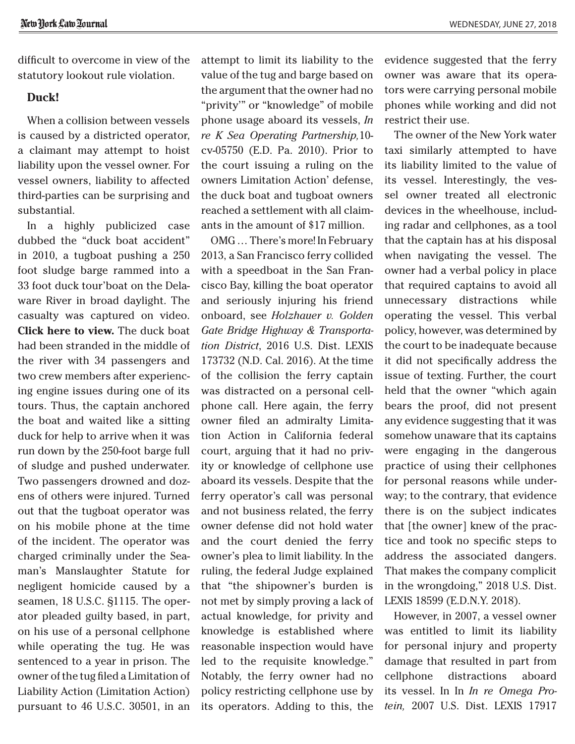difficult to overcome in view of the statutory lookout rule violation.

### **Duck!**

When a collision between vessels is caused by a districted operator, a claimant may attempt to hoist liability upon the vessel owner. For vessel owners, liability to affected third-parties can be surprising and substantial.

In a highly publicized case dubbed the "duck boat accident" in 2010, a tugboat pushing a 250 foot sludge barge rammed into a 33 foot duck tour'boat on the Delaware River in broad daylight. The casualty was [captured on video.](https://www.youtube.com/watch?v=IQ1e-4lzbkk) **[Click here to view.](https://www.youtube.com/watch?v=IQ1e-4lzbkk)** The duck boat had been stranded in the middle of the river with 34 passengers and two crew members after experiencing engine issues during one of its tours. Thus, the captain anchored the boat and waited like a sitting duck for help to arrive when it was run down by the 250-foot barge full of sludge and pushed underwater. Two passengers drowned and dozens of others were injured. Turned out that the tugboat operator was on his mobile phone at the time of the incident. The operator was charged criminally under the Seaman's Manslaughter Statute for negligent homicide caused by a seamen, 18 U.S.C. §1115. The operator pleaded guilty based, in part, on his use of a personal cellphone while operating the tug. He was sentenced to a year in prison. The owner of the tug filed a Limitation of Liability Action (Limitation Action) pursuant to 46 U.S.C. 30501, in an attempt to limit its liability to the value of the tug and barge based on the argument that the owner had no "privity'" or "knowledge" of mobile phone usage aboard its vessels, *In re K Sea Operating Partnership,*10 cv-05750 (E.D. Pa. 2010). Prior to the court issuing a ruling on the owners Limitation Action' defense, the duck boat and tugboat owners reached a settlement with all claimants in the amount of \$17 million.

OMG … There's more! In February 2013, a San Francisco ferry collided with a speedboat in the San Francisco Bay, killing the boat operator and seriously injuring his friend onboard, see *Holzhauer v. Golden Gate Bridge Highway & Transportation District*, 2016 U.S. Dist. LEXIS 173732 (N.D. Cal. 2016). At the time of the collision the ferry captain was distracted on a personal cellphone call. Here again, the ferry owner filed an admiralty Limitation Action in California federal court, arguing that it had no privity or knowledge of cellphone use aboard its vessels. Despite that the ferry operator's call was personal and not business related, the ferry owner defense did not hold water and the court denied the ferry owner's plea to limit liability. In the ruling, the federal Judge explained that "the shipowner's burden is not met by simply proving a lack of actual knowledge, for privity and knowledge is established where reasonable inspection would have led to the requisite knowledge." Notably, the ferry owner had no policy restricting cellphone use by its operators. Adding to this, the evidence suggested that the ferry owner was aware that its operators were carrying personal mobile phones while working and did not restrict their use.

The owner of the New York water taxi similarly attempted to have its liability limited to the value of its vessel. Interestingly, the vessel owner treated all electronic devices in the wheelhouse, including radar and cellphones, as a tool that the captain has at his disposal when navigating the vessel. The owner had a verbal policy in place that required captains to avoid all unnecessary distractions while operating the vessel. This verbal policy, however, was determined by the court to be inadequate because it did not specifically address the issue of texting. Further, the court held that the owner "which again bears the proof, did not present any evidence suggesting that it was somehow unaware that its captains were engaging in the dangerous practice of using their cellphones for personal reasons while underway; to the contrary, that evidence there is on the subject indicates that [the owner] knew of the practice and took no specific steps to address the associated dangers. That makes the company complicit in the wrongdoing," 2018 U.S. Dist. LEXIS 18599 (E.D.N.Y. 2018).

However, in 2007, a vessel owner was entitled to limit its liability for personal injury and property damage that resulted in part from cellphone distractions aboard its vessel. In In *In re Omega Protein,* 2007 U.S. Dist. LEXIS 17917